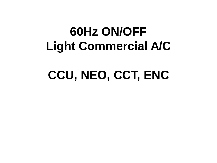# **60Hz ON/OFF Light Commercial A/C**

# **CCU, NEO, CCT, ENC**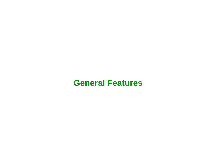# **General Features**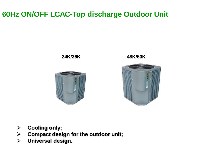### **60Hz ON/OFF LCAC-Top discharge Outdoor Unit**



- **Cooling only;**
- **Compact design for the outdoor unit;**
- **Universal design.**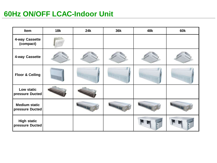#### **60Hz ON/OFF LCAC-Indoor Unit**

| Item                                    | <b>18k</b> | <b>24k</b> | <b>36k</b> | 48k | <b>60k</b> |
|-----------------------------------------|------------|------------|------------|-----|------------|
| 4-way Cassette<br>(compact)             |            |            |            |     |            |
| 4-way Cassette                          |            |            |            |     |            |
| <b>Floor &amp; Ceiling</b>              |            |            |            |     |            |
| Low static<br>pressure Ducted           |            |            |            |     |            |
| <b>Medium static</b><br>pressure Ducted |            |            |            |     |            |
| <b>High static</b><br>pressure Ducted   |            |            |            |     |            |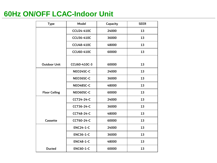#### **60Hz ON/OFF LCAC-Indoor Unit**

| <b>Type</b>          | Model             | Capacity | <b>SEER</b> |
|----------------------|-------------------|----------|-------------|
|                      | <b>CCU24-410C</b> | 24000    | 13          |
|                      | <b>CCU36-410C</b> | 36000    | 13          |
|                      | <b>CCU48-410C</b> | 48000    | 13          |
|                      | <b>CCU60-410C</b> | 60000    | 13          |
|                      |                   |          |             |
| <b>Outdoor Unit</b>  | CCU60-410C-3      | 60000    | 13          |
|                      | NEO24SC-C         | 24000    | 13          |
|                      | NEO36SC-C         | 36000    | 13          |
|                      | NEO48SC-C         | 48000    | 13          |
| <b>Floor Ceiling</b> | NEO60SC-C         | 60000    | 13          |
|                      | <b>CCT24-24-C</b> | 24000    | 13          |
|                      | <b>CCT36-24-C</b> | 36000    | 13          |
|                      | <b>CCT48-24-C</b> | 48000    | 13          |
| Cassette             | <b>CCT60-24-C</b> | 60000    | 13          |
|                      | <b>ENC24-1-C</b>  | 24000    | 13          |
|                      | <b>ENC36-1-C</b>  | 36000    | 13          |
|                      | <b>ENC48-1-C</b>  | 48000    | 13          |
| <b>Ducted</b>        | <b>ENC60-1-C</b>  | 60000    | 13          |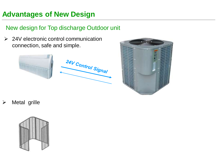### **Advantages of New Design**

#### New design for Top discharge Outdoor unit

 $\geq$  24V electronic control communication connection, safe and simple.





Metal grille

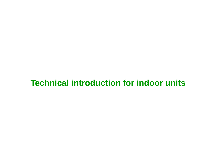# **Technical introduction for indoor units**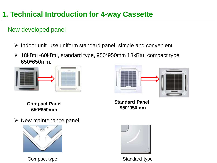#### New developed panel

- $\triangleright$  Indoor unit use uniform standard panel, simple and convenient.
- 18kBtu~60kBtu, standard type, 950\*950mm 18kBtu, compact type, 650\*650mm.





**Compact Panel 650\*650mm**

**Standard Panel 950\*950mm**

 $\triangleright$  New maintenance panel.



Compact type Standard type

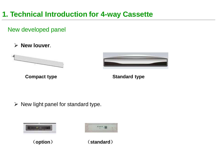#### New developed panel

**New louver**.



**Compact type <b>Standard type** Standard type



 $\triangleright$  New light panel for standard type.





(**option**) (**standard**)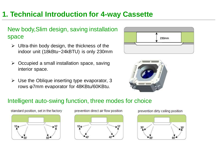#### New body,Slim design, saving installation space

- $\triangleright$  Ultra-thin body design, the thickness of the indoor unit (18kBtu~24kBTU) is only 230mm
- $\triangleright$  Occupied a small installation space, saving interior space.
- $\triangleright$  Use the Oblique inserting type evaporator, 3 rows φ7mm evaporator for 48KBtu/60KBtu.





#### Intelligent auto-swing function, three modes for choice



prevention direct air flow position



prevention dirty ceiling position

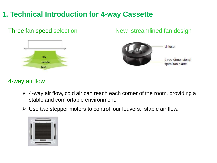#### Three fan speed selection New streamlined fan design diffuser low three-dimensional middle spiral fan blade high

#### 4-way air flow

- $\triangleright$  4-way air flow, cold air can reach each corner of the room, providing a stable and comfortable environment.
- $\triangleright$  Use two stepper motors to control four louvers, stable air flow.

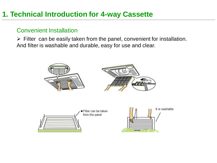#### Convenient Installation

 $\triangleright$  Filter can be easily taken from the panel, convenient for installation. And filter is washable and durable, easy for use and clear.



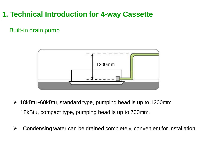#### Built-in drain pump



- $\geq$  18kBtu~60kBtu, standard type, pumping head is up to 1200 mm. 18kBtu, compact type, pumping head is up to 700mm.
- $\triangleright$  Condensing water can be drained completely, convenient for installation.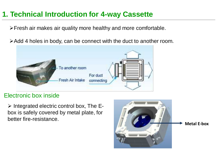Fresh air makes air quality more healthy and more comfortable.

Add 4 holes in body, can be connect with the duct to another room.



#### Electronic box inside

 $\triangleright$  Integrated electric control box, The Ebox is safely covered by metal plate, for better fire-resistance.

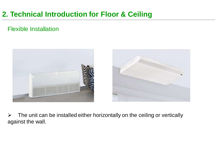#### Flexible Installation



 $\triangleright$  The unit can be installed either horizontally on the ceiling or vertically against the wall.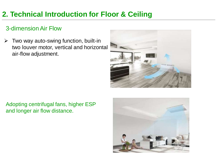#### 3-dimension Air Flow

 $\triangleright$  Two way auto-swing function, built-in two louver motor, vertical and horizontal air-flow adjustment.



Adopting centrifugal fans, higher ESP and longer air flow distance.

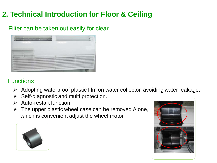#### Filter can be taken out easily for clear



#### **Functions**

- Adopting waterproof plastic film on water collector, avoiding water leakage.
- $\triangleright$  Self-diagnostic and multi protection.
- $\triangleright$  Auto-restart function.
- $\triangleright$  The upper plastic wheel case can be removed Alone, which is convenient adjust the wheel motor .



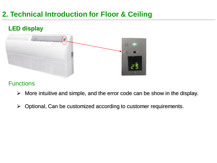

#### **Functions**

- $\triangleright$  More intuitive and simple, and the error code can be show in the display.
- $\triangleright$  Optional, Can be customized according to customer requirements.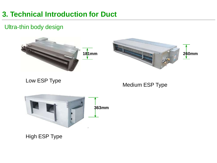#### Ultra-thin body design





Low ESP Type

Medium ESP Type



High ESP Type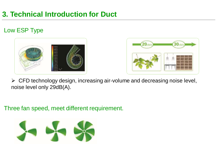#### Low ESP Type





 $\triangleright$  CFD technology design, increasing air-volume and decreasing noise level, noise level only 29dB(A).

Three fan speed, meet different requirement.

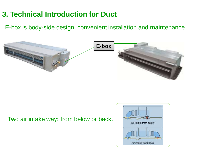E-box is body-side design, convenient installation and maintenance.



#### Two air intake way: from below or back.

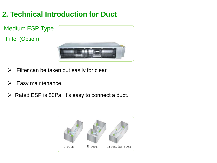Medium ESP Type Filter (Option)



- $\triangleright$  Filter can be taken out easily for clear.
- $\triangleright$  Easy maintenance.
- $\triangleright$  Rated ESP is 50Pa. It's easy to connect a duct.

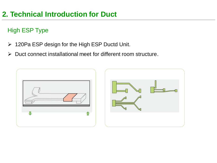### High ESP Type

- 120Pa ESP design for the High ESP Ductd Unit.
- $\triangleright$  Duct connect installational meet for different room structure.



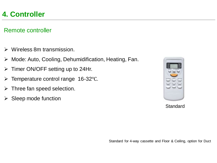#### Remote controller

- Wireless 8m transmission.
- Mode: Auto, Cooling, Dehumidification, Heating, Fan.
- $\triangleright$  Timer ON/OFF setting up to 24Hr.
- Temperature control range 16-32℃.
- $\triangleright$  Three fan speed selection.
- $\triangleright$  Sleep mode function

| <br>ī | <b>LEN</b> |
|-------|------------|
|       |            |

**Standard**